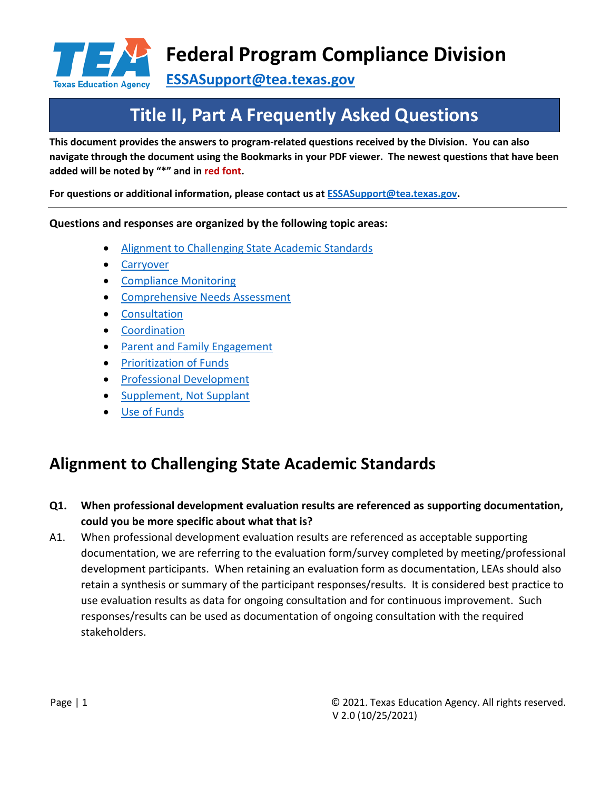

**[ESSASupport@tea.texas.gov](mailto:ESSASupport@tea.texas.gov)**

# **Title II, Part A Frequently Asked Questions**

**This document provides the answers to program-related questions received by the Division. You can also navigate through the document using the Bookmarks in your PDF viewer. The newest questions that have been added will be noted by "\*" and in red font.**

**For questions or additional information, please contact us at [ESSASupport@tea.texas.gov.](mailto:ESSASupport@tea.texas.gov)**

**Questions and responses are organized by the following topic areas:**

- Alignment to Challenging State Academic Standards
- **[Carryover](#page-1-0)**
- [Compliance Monitoring](#page-3-0)
- [Comprehensive Needs Assessment](#page-0-0)
- Consultation
- Coordination
- [Parent and Family Engagement](#page-10-0)
- [Prioritization of Funds](#page-11-0)
- [Professional Development](#page-11-1)
- [Supplement, Not Supplant](#page-14-0)
- [Use of Funds](#page-17-0)

# <span id="page-0-0"></span>**Alignment to Challenging State Academic Standards**

- **Q1. When professional development evaluation results are referenced as supporting documentation, could you be more specific about what that is?**
- A1. When professional development evaluation results are referenced as acceptable supporting documentation, we are referring to the evaluation form/survey completed by meeting/professional development participants. When retaining an evaluation form as documentation, LEAs should also retain a synthesis or summary of the participant responses/results. It is considered best practice to use evaluation results as data for ongoing consultation and for continuous improvement. Such responses/results can be used as documentation of ongoing consultation with the required stakeholders.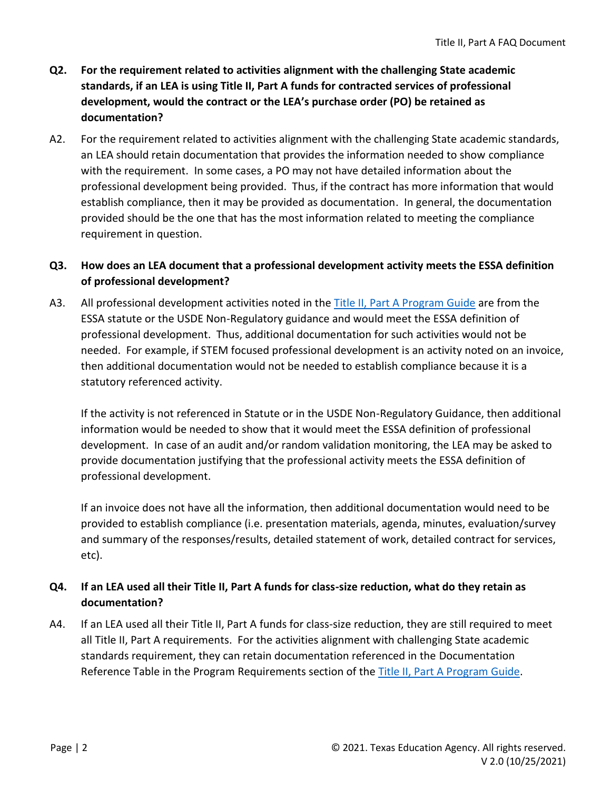- **Q2. For the requirement related to activities alignment with the challenging State academic standards, if an LEA is using Title II, Part A funds for contracted services of professional development, would the contract or the LEA's purchase order (PO) be retained as documentation?**
- A2. For the requirement related to activities alignment with the challenging State academic standards, an LEA should retain documentation that provides the information needed to show compliance with the requirement. In some cases, a PO may not have detailed information about the professional development being provided. Thus, if the contract has more information that would establish compliance, then it may be provided as documentation. In general, the documentation provided should be the one that has the most information related to meeting the compliance requirement in question.

#### **Q3. How does an LEA document that a professional development activity meets the ESSA definition of professional development?**

A3. All professional development activities noted in th[e Title II, Part A Program Guide](https://tea.texas.gov/sites/default/files/T2AProgramGuide.pdf) are from the ESSA statute or the USDE Non-Regulatory guidance and would meet the ESSA definition of professional development. Thus, additional documentation for such activities would not be needed. For example, if STEM focused professional development is an activity noted on an invoice, then additional documentation would not be needed to establish compliance because it is a statutory referenced activity.

If the activity is not referenced in Statute or in the USDE Non-Regulatory Guidance, then additional information would be needed to show that it would meet the ESSA definition of professional development. In case of an audit and/or random validation monitoring, the LEA may be asked to provide documentation justifying that the professional activity meets the ESSA definition of professional development.

If an invoice does not have all the information, then additional documentation would need to be provided to establish compliance (i.e. presentation materials, agenda, minutes, evaluation/survey and summary of the responses/results, detailed statement of work, detailed contract for services, etc).

#### **Q4. If an LEA used all their Title II, Part A funds for class-size reduction, what do they retain as documentation?**

<span id="page-1-0"></span>A4. If an LEA used all their Title II, Part A funds for class-size reduction, they are still required to meet all Title II, Part A requirements. For the activities alignment with challenging State academic standards requirement, they can retain documentation referenced in the Documentation Reference Table in the Program Requirements section of the [Title II, Part A Program Guide.](https://tea.texas.gov/sites/default/files/T2AProgramGuide.pdf)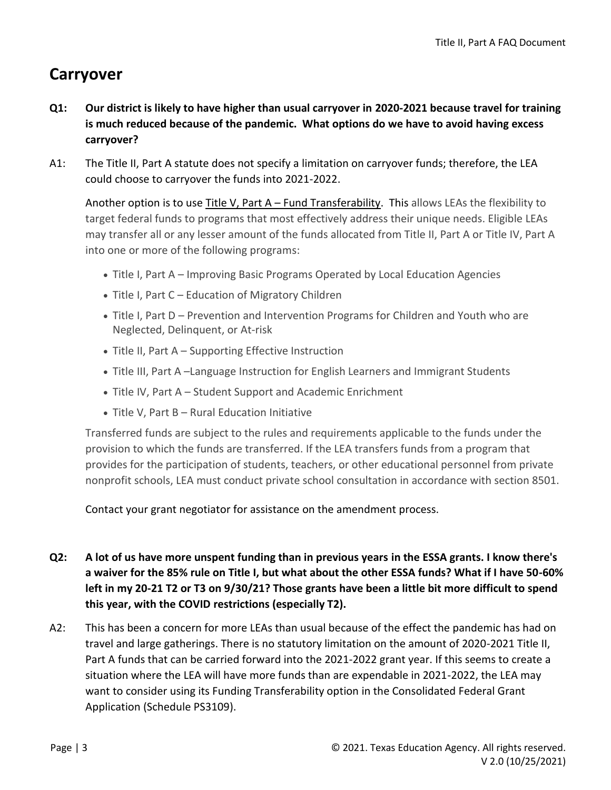# **Carryover**

- **Q1: Our district is likely to have higher than usual carryover in 2020-2021 because travel for training is much reduced because of the pandemic. What options do we have to avoid having excess carryover?**
- A1: The Title II, Part A statute does not specify a limitation on carryover funds; therefore, the LEA could choose to carryover the funds into 2021-2022.

Another option is to use Title V, Part A – [Fund Transferability.](https://tea.texas.gov/finance-and-grants/grants/essa-program/title-v-part-a-funding-transferability) This allows LEAs the flexibility to target federal funds to programs that most effectively address their unique needs. Eligible LEAs may transfer all or any lesser amount of the funds allocated from Title II, Part A or Title IV, Part A into one or more of the following programs:

- Title I, Part A Improving Basic Programs Operated by Local Education Agencies
- Title I, Part C Education of Migratory Children
- Title I, Part D Prevention and Intervention Programs for Children and Youth who are Neglected, Delinquent, or At-risk
- Title II, Part A Supporting Effective Instruction
- Title III, Part A –Language Instruction for English Learners and Immigrant Students
- Title IV, Part A Student Support and Academic Enrichment
- Title V, Part B Rural Education Initiative

Transferred funds are subject to the rules and requirements applicable to the funds under the provision to which the funds are transferred. If the LEA transfers funds from a program that provides for the participation of students, teachers, or other educational personnel from private nonprofit schools, LEA must conduct private school consultation in accordance with section 8501.

Contact your grant negotiator for assistance on the amendment process.

- **Q2: A lot of us have more unspent funding than in previous years in the ESSA grants. I know there's a waiver for the 85% rule on Title I, but what about the other ESSA funds? What if I have 50-60% left in my 20-21 T2 or T3 on 9/30/21? Those grants have been a little bit more difficult to spend this year, with the COVID restrictions (especially T2).**
- A2: This has been a concern for more LEAs than usual because of the effect the pandemic has had on travel and large gatherings. There is no statutory limitation on the amount of 2020-2021 Title II, Part A funds that can be carried forward into the 2021-2022 grant year. If this seems to create a situation where the LEA will have more funds than are expendable in 2021-2022, the LEA may want to consider using its Funding Transferability option in the Consolidated Federal Grant Application (Schedule PS3109).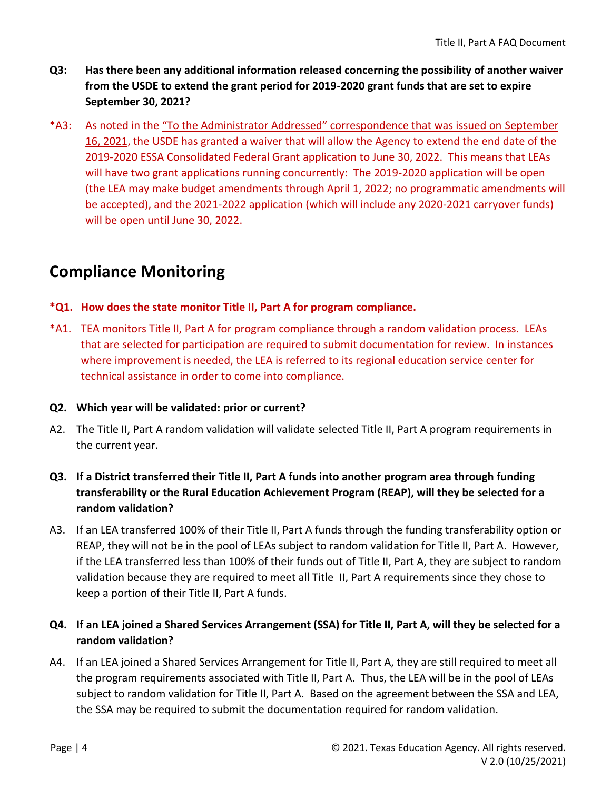- **Q3: Has there been any additional information released concerning the possibility of another waiver from the USDE to extend the grant period for 2019-2020 grant funds that are set to expire September 30, 2021?**
- \*A3: As noted in the ["To the Administrator Addressed" correspondence that was issued on](https://tea.texas.gov/about-tea/news-and-multimedia/correspondence/taa-letters/approved-essa-fiscal-waivers) September [16, 2021,](https://tea.texas.gov/about-tea/news-and-multimedia/correspondence/taa-letters/approved-essa-fiscal-waivers) the USDE has granted a waiver that will allow the Agency to extend the end date of the 2019-2020 ESSA Consolidated Federal Grant application to June 30, 2022. This means that LEAs will have two grant applications running concurrently: The 2019-2020 application will be open (the LEA may make budget amendments through April 1, 2022; no programmatic amendments will be accepted), and the 2021-2022 application (which will include any 2020-2021 carryover funds) will be open until June 30, 2022.

# <span id="page-3-0"></span>**Compliance Monitoring**

#### **\*Q1. How does the state monitor Title II, Part A for program compliance.**

\*A1. TEA monitors Title II, Part A for program compliance through a random validation process. LEAs that are selected for participation are required to submit documentation for review. In instances where improvement is needed, the LEA is referred to its regional education service center for technical assistance in order to come into compliance.

#### **Q2. Which year will be validated: prior or current?**

- A2. The Title II, Part A random validation will validate selected Title II, Part A program requirements in the current year.
- **Q3. If a District transferred their Title II, Part A funds into another program area through funding transferability or the Rural Education Achievement Program (REAP), will they be selected for a random validation?**
- A3. If an LEA transferred 100% of their Title II, Part A funds through the funding transferability option or REAP, they will not be in the pool of LEAs subject to random validation for Title II, Part A. However, if the LEA transferred less than 100% of their funds out of Title II, Part A, they are subject to random validation because they are required to meet all Title II, Part A requirements since they chose to keep a portion of their Title II, Part A funds.

#### **Q4. If an LEA joined a Shared Services Arrangement (SSA) for Title II, Part A, will they be selected for a random validation?**

A4. If an LEA joined a Shared Services Arrangement for Title II, Part A, they are still required to meet all the program requirements associated with Title II, Part A. Thus, the LEA will be in the pool of LEAs subject to random validation for Title II, Part A. Based on the agreement between the SSA and LEA, the SSA may be required to submit the documentation required for random validation.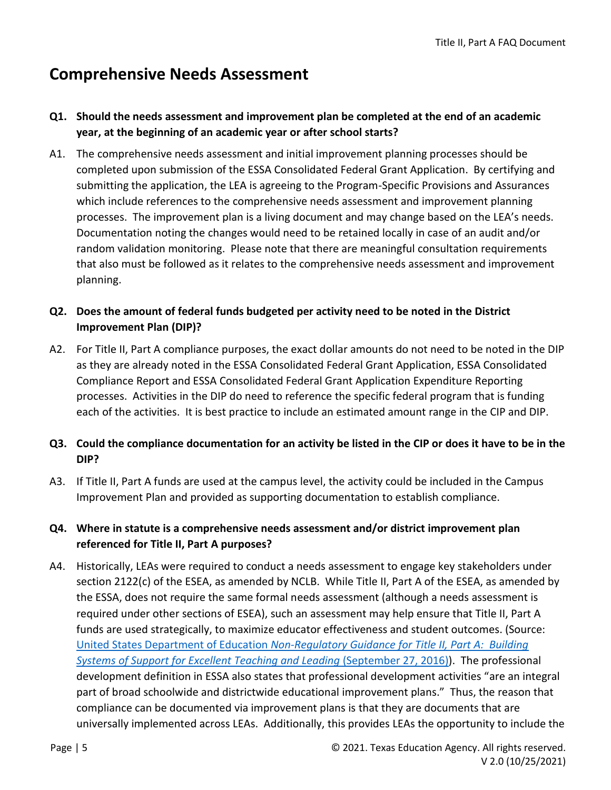### **Comprehensive Needs Assessment**

#### **Q1. Should the needs assessment and improvement plan be completed at the end of an academic year, at the beginning of an academic year or after school starts?**

A1. The comprehensive needs assessment and initial improvement planning processes should be completed upon submission of the ESSA Consolidated Federal Grant Application. By certifying and submitting the application, the LEA is agreeing to the Program-Specific Provisions and Assurances which include references to the comprehensive needs assessment and improvement planning processes. The improvement plan is a living document and may change based on the LEA's needs. Documentation noting the changes would need to be retained locally in case of an audit and/or random validation monitoring. Please note that there are meaningful consultation requirements that also must be followed as it relates to the comprehensive needs assessment and improvement planning.

#### **Q2. Does the amount of federal funds budgeted per activity need to be noted in the District Improvement Plan (DIP)?**

A2. For Title II, Part A compliance purposes, the exact dollar amounts do not need to be noted in the DIP as they are already noted in the ESSA Consolidated Federal Grant Application, ESSA Consolidated Compliance Report and ESSA Consolidated Federal Grant Application Expenditure Reporting processes. Activities in the DIP do need to reference the specific federal program that is funding each of the activities. It is best practice to include an estimated amount range in the CIP and DIP.

### **Q3. Could the compliance documentation for an activity be listed in the CIP or does it have to be in the DIP?**

A3. If Title II, Part A funds are used at the campus level, the activity could be included in the Campus Improvement Plan and provided as supporting documentation to establish compliance.

#### **Q4. Where in statute is a comprehensive needs assessment and/or district improvement plan referenced for Title II, Part A purposes?**

A4. Historically, LEAs were required to conduct a needs assessment to engage key stakeholders under section 2122(c) of the ESEA, as amended by NCLB. While Title II, Part A of the ESEA, as amended by the ESSA, does not require the same formal needs assessment (although a needs assessment is required under other sections of ESEA), such an assessment may help ensure that Title II, Part A funds are used strategically, to maximize educator effectiveness and student outcomes. (Source: United States Department of Education *[Non-Regulatory Guidance for Title II, Part A: Building](https://www2.ed.gov/policy/elsec/leg/essa/essatitleiipartaguidance.pdf)  [Systems of Support for Excellent Teaching and Leading](https://www2.ed.gov/policy/elsec/leg/essa/essatitleiipartaguidance.pdf)* (September 27, 2016)). The professional development definition in ESSA also states that professional development activities "are an integral part of broad schoolwide and districtwide educational improvement plans." Thus, the reason that compliance can be documented via improvement plans is that they are documents that are universally implemented across LEAs. Additionally, this provides LEAs the opportunity to include the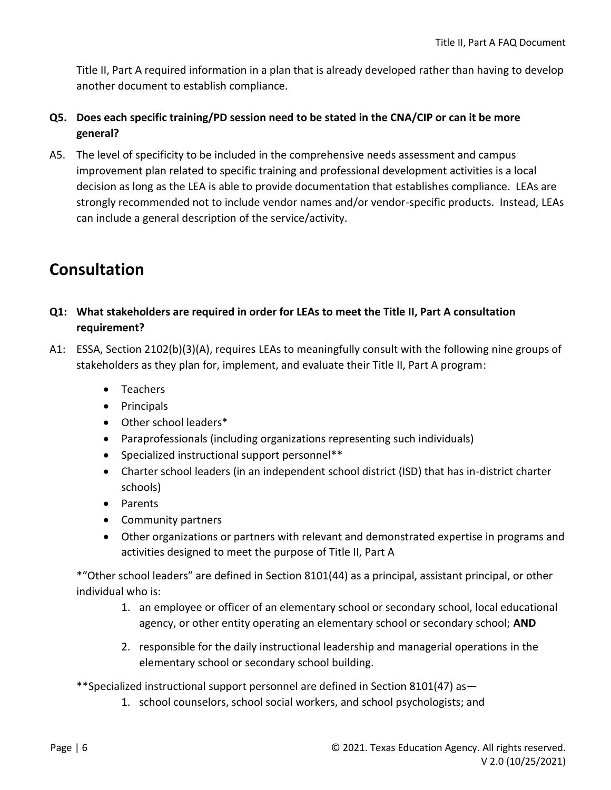Title II, Part A required information in a plan that is already developed rather than having to develop another document to establish compliance.

#### **Q5. Does each specific training/PD session need to be stated in the CNA/CIP or can it be more general?**

A5. The level of specificity to be included in the comprehensive needs assessment and campus improvement plan related to specific training and professional development activities is a local decision as long as the LEA is able to provide documentation that establishes compliance. LEAs are strongly recommended not to include vendor names and/or vendor-specific products. Instead, LEAs can include a general description of the service/activity.

# **Consultation**

- **Q1: What stakeholders are required in order for LEAs to meet the Title II, Part A consultation requirement?**
- A1: ESSA, Section 2102(b)(3)(A), requires LEAs to meaningfully consult with the following nine groups of stakeholders as they plan for, implement, and evaluate their Title II, Part A program:
	- Teachers
	- Principals
	- Other school leaders\*
	- Paraprofessionals (including organizations representing such individuals)
	- Specialized instructional support personnel\*\*
	- Charter school leaders (in an independent school district (ISD) that has in-district charter schools)
	- Parents
	- Community partners
	- Other organizations or partners with relevant and demonstrated expertise in programs and activities designed to meet the purpose of Title II, Part A

\*"Other school leaders" are defined in Section 8101(44) as a principal, assistant principal, or other individual who is:

- 1. an employee or officer of an elementary school or secondary school, local educational agency, or other entity operating an elementary school or secondary school; **AND**
- 2. responsible for the daily instructional leadership and managerial operations in the elementary school or secondary school building.

\*\*Specialized instructional support personnel are defined in Section 8101(47) as—

1. school counselors, school social workers, and school psychologists; and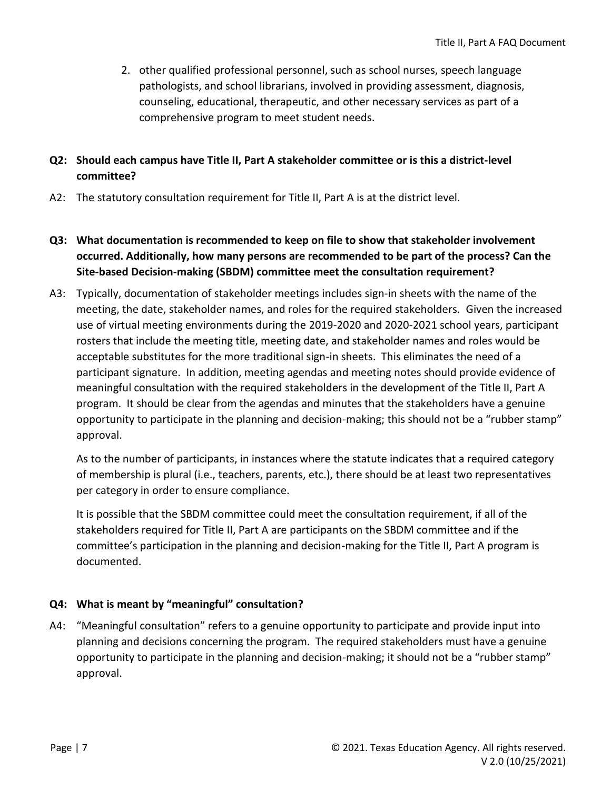2. other qualified professional personnel, such as school nurses, speech language pathologists, and school librarians, involved in providing assessment, diagnosis, counseling, educational, therapeutic, and other necessary services as part of a comprehensive program to meet student needs.

#### **Q2: Should each campus have Title II, Part A stakeholder committee or is this a district-level committee?**

- A2: The statutory consultation requirement for Title II, Part A is at the district level.
- **Q3: What documentation is recommended to keep on file to show that stakeholder involvement occurred. Additionally, how many persons are recommended to be part of the process? Can the Site-based Decision-making (SBDM) committee meet the consultation requirement?**
- A3: Typically, documentation of stakeholder meetings includes sign-in sheets with the name of the meeting, the date, stakeholder names, and roles for the required stakeholders. Given the increased use of virtual meeting environments during the 2019-2020 and 2020-2021 school years, participant rosters that include the meeting title, meeting date, and stakeholder names and roles would be acceptable substitutes for the more traditional sign-in sheets. This eliminates the need of a participant signature. In addition, meeting agendas and meeting notes should provide evidence of meaningful consultation with the required stakeholders in the development of the Title II, Part A program. It should be clear from the agendas and minutes that the stakeholders have a genuine opportunity to participate in the planning and decision-making; this should not be a "rubber stamp" approval.

As to the number of participants, in instances where the statute indicates that a required category of membership is plural (i.e., teachers, parents, etc.), there should be at least two representatives per category in order to ensure compliance.

It is possible that the SBDM committee could meet the consultation requirement, if all of the stakeholders required for Title II, Part A are participants on the SBDM committee and if the committee's participation in the planning and decision-making for the Title II, Part A program is documented.

#### **Q4: What is meant by "meaningful" consultation?**

A4: "Meaningful consultation" refers to a genuine opportunity to participate and provide input into planning and decisions concerning the program. The required stakeholders must have a genuine opportunity to participate in the planning and decision-making; it should not be a "rubber stamp" approval.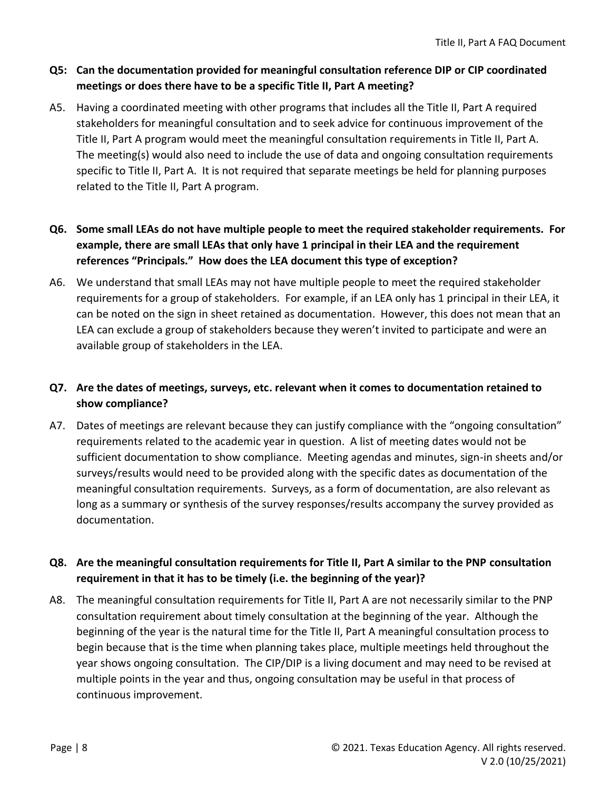#### **Q5: Can the documentation provided for meaningful consultation reference DIP or CIP coordinated meetings or does there have to be a specific Title II, Part A meeting?**

- A5. Having a coordinated meeting with other programs that includes all the Title II, Part A required stakeholders for meaningful consultation and to seek advice for continuous improvement of the Title II, Part A program would meet the meaningful consultation requirements in Title II, Part A. The meeting(s) would also need to include the use of data and ongoing consultation requirements specific to Title II, Part A. It is not required that separate meetings be held for planning purposes related to the Title II, Part A program.
- **Q6. Some small LEAs do not have multiple people to meet the required stakeholder requirements. For example, there are small LEAs that only have 1 principal in their LEA and the requirement references "Principals." How does the LEA document this type of exception?**
- A6. We understand that small LEAs may not have multiple people to meet the required stakeholder requirements for a group of stakeholders. For example, if an LEA only has 1 principal in their LEA, it can be noted on the sign in sheet retained as documentation. However, this does not mean that an LEA can exclude a group of stakeholders because they weren't invited to participate and were an available group of stakeholders in the LEA.

#### **Q7. Are the dates of meetings, surveys, etc. relevant when it comes to documentation retained to show compliance?**

A7. Dates of meetings are relevant because they can justify compliance with the "ongoing consultation" requirements related to the academic year in question. A list of meeting dates would not be sufficient documentation to show compliance. Meeting agendas and minutes, sign-in sheets and/or surveys/results would need to be provided along with the specific dates as documentation of the meaningful consultation requirements. Surveys, as a form of documentation, are also relevant as long as a summary or synthesis of the survey responses/results accompany the survey provided as documentation.

#### **Q8. Are the meaningful consultation requirements for Title II, Part A similar to the PNP consultation requirement in that it has to be timely (i.e. the beginning of the year)?**

A8. The meaningful consultation requirements for Title II, Part A are not necessarily similar to the PNP consultation requirement about timely consultation at the beginning of the year. Although the beginning of the year is the natural time for the Title II, Part A meaningful consultation process to begin because that is the time when planning takes place, multiple meetings held throughout the year shows ongoing consultation. The CIP/DIP is a living document and may need to be revised at multiple points in the year and thus, ongoing consultation may be useful in that process of continuous improvement.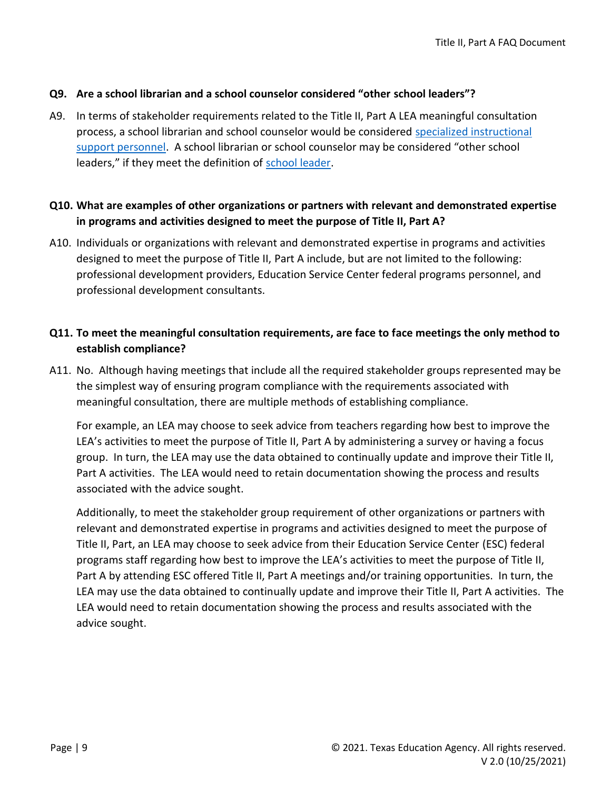#### **Q9. Are a school librarian and a school counselor considered "other school leaders"?**

A9. In terms of stakeholder requirements related to the Title II, Part A LEA meaningful consultation process, a school librarian and school counselor would be considered specialized instructional support personnel. A school librarian or school counselor may be considered "other school leaders," if they meet the definition of school leader.

#### **Q10. What are examples of other organizations or partners with relevant and demonstrated expertise in programs and activities designed to meet the purpose of Title II, Part A?**

A10. Individuals or organizations with relevant and demonstrated expertise in programs and activities designed to meet the purpose of Title II, Part A include, but are not limited to the following: professional development providers, Education Service Center federal programs personnel, and professional development consultants.

#### **Q11. To meet the meaningful consultation requirements, are face to face meetings the only method to establish compliance?**

A11. No. Although having meetings that include all the required stakeholder groups represented may be the simplest way of ensuring program compliance with the requirements associated with meaningful consultation, there are multiple methods of establishing compliance.

For example, an LEA may choose to seek advice from teachers regarding how best to improve the LEA's activities to meet the purpose of Title II, Part A by administering a survey or having a focus group. In turn, the LEA may use the data obtained to continually update and improve their Title II, Part A activities. The LEA would need to retain documentation showing the process and results associated with the advice sought.

Additionally, to meet the stakeholder group requirement of other organizations or partners with relevant and demonstrated expertise in programs and activities designed to meet the purpose of Title II, Part, an LEA may choose to seek advice from their Education Service Center (ESC) federal programs staff regarding how best to improve the LEA's activities to meet the purpose of Title II, Part A by attending ESC offered Title II, Part A meetings and/or training opportunities. In turn, the LEA may use the data obtained to continually update and improve their Title II, Part A activities. The LEA would need to retain documentation showing the process and results associated with the advice sought.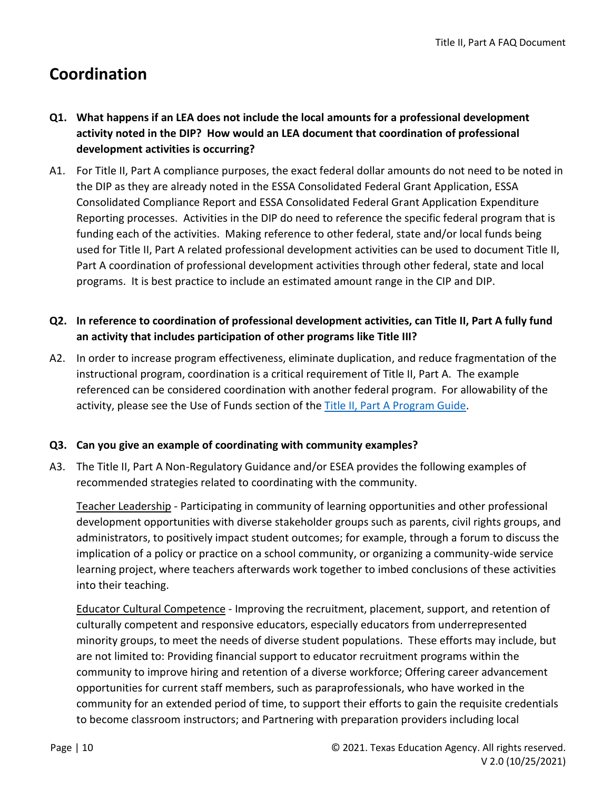# **Coordination**

- **Q1. What happens if an LEA does not include the local amounts for a professional development activity noted in the DIP? How would an LEA document that coordination of professional development activities is occurring?**
- A1. For Title II, Part A compliance purposes, the exact federal dollar amounts do not need to be noted in the DIP as they are already noted in the ESSA Consolidated Federal Grant Application, ESSA Consolidated Compliance Report and ESSA Consolidated Federal Grant Application Expenditure Reporting processes. Activities in the DIP do need to reference the specific federal program that is funding each of the activities. Making reference to other federal, state and/or local funds being used for Title II, Part A related professional development activities can be used to document Title II, Part A coordination of professional development activities through other federal, state and local programs. It is best practice to include an estimated amount range in the CIP and DIP.

#### **Q2. In reference to coordination of professional development activities, can Title II, Part A fully fund an activity that includes participation of other programs like Title III?**

A2. In order to increase program effectiveness, eliminate duplication, and reduce fragmentation of the instructional program, coordination is a critical requirement of Title II, Part A. The example referenced can be considered coordination with another federal program. For allowability of the activity, please see the Use of Funds section of the [Title II, Part A Program Guide.](https://tea.texas.gov/sites/default/files/T2AProgramGuide.pdf)

#### **Q3. Can you give an example of coordinating with community examples?**

A3. The Title II, Part A Non-Regulatory Guidance and/or ESEA provides the following examples of recommended strategies related to coordinating with the community.

Teacher Leadership - Participating in community of learning opportunities and other professional development opportunities with diverse stakeholder groups such as parents, civil rights groups, and administrators, to positively impact student outcomes; for example, through a forum to discuss the implication of a policy or practice on a school community, or organizing a community-wide service learning project, where teachers afterwards work together to imbed conclusions of these activities into their teaching.

Educator Cultural Competence - Improving the recruitment, placement, support, and retention of culturally competent and responsive educators, especially educators from underrepresented minority groups, to meet the needs of diverse student populations. These efforts may include, but are not limited to: Providing financial support to educator recruitment programs within the community to improve hiring and retention of a diverse workforce; Offering career advancement opportunities for current staff members, such as paraprofessionals, who have worked in the community for an extended period of time, to support their efforts to gain the requisite credentials to become classroom instructors; and Partnering with preparation providers including local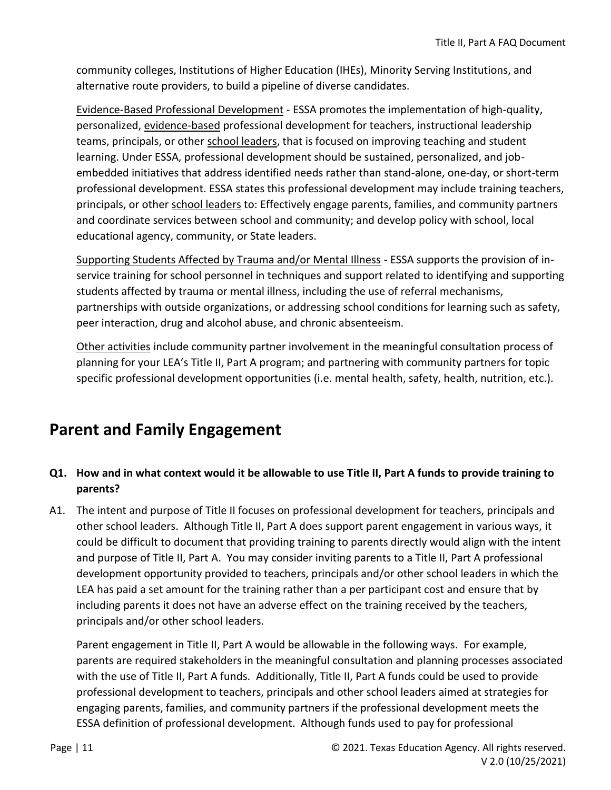community colleges, Institutions of Higher Education (IHEs), Minority Serving Institutions, and alternative route providers, to build a pipeline of diverse candidates.

Evidence-Based Professional Development - ESSA promotes the implementation of high-quality, personalized, evidence-based professional development for teachers, instructional leadership teams, principals, or other school leaders, that is focused on improving teaching and student learning. Under ESSA, professional development should be sustained, personalized, and jobembedded initiatives that address identified needs rather than stand-alone, one-day, or short-term professional development. ESSA states this professional development may include training teachers, principals, or other school leaders to: Effectively engage parents, families, and community partners and coordinate services between school and community; and develop policy with school, local educational agency, community, or State leaders.

Supporting Students Affected by Trauma and/or Mental Illness - ESSA supports the provision of inservice training for school personnel in techniques and support related to identifying and supporting students affected by trauma or mental illness, including the use of referral mechanisms, partnerships with outside organizations, or addressing school conditions for learning such as safety, peer interaction, drug and alcohol abuse, and chronic absenteeism.

Other activities include community partner involvement in the meaningful consultation process of planning for your LEA's Title II, Part A program; and partnering with community partners for topic specific professional development opportunities (i.e. mental health, safety, health, nutrition, etc.).

# <span id="page-10-0"></span>**Parent and Family Engagement**

### **Q1. How and in what context would it be allowable to use Title II, Part A funds to provide training to parents?**

A1. The intent and purpose of Title II focuses on professional development for teachers, principals and other school leaders. Although Title II, Part A does support parent engagement in various ways, it could be difficult to document that providing training to parents directly would align with the intent and purpose of Title II, Part A. You may consider inviting parents to a Title II, Part A professional development opportunity provided to teachers, principals and/or other school leaders in which the LEA has paid a set amount for the training rather than a per participant cost and ensure that by including parents it does not have an adverse effect on the training received by the teachers, principals and/or other school leaders.

Parent engagement in Title II, Part A would be allowable in the following ways. For example, parents are required stakeholders in the meaningful consultation and planning processes associated with the use of Title II, Part A funds. Additionally, Title II, Part A funds could be used to provide professional development to teachers, principals and other school leaders aimed at strategies for engaging parents, families, and community partners if the professional development meets the ESSA definition of professional development. Although funds used to pay for professional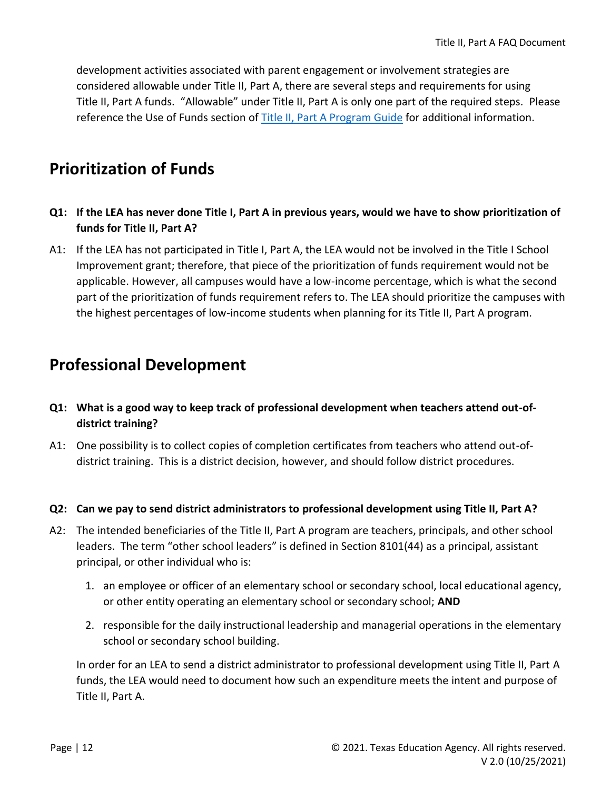development activities associated with parent engagement or involvement strategies are considered allowable under Title II, Part A, there are several steps and requirements for using Title II, Part A funds. "Allowable" under Title II, Part A is only one part of the required steps. Please reference the Use of Funds section o[f Title II, Part A Program Guide](https://tea.texas.gov/sites/default/files/T2AProgramGuide.pdf) for additional information.

### <span id="page-11-0"></span>**Prioritization of Funds**

- **Q1: If the LEA has never done Title I, Part A in previous years, would we have to show prioritization of funds for Title II, Part A?**
- A1: If the LEA has not participated in Title I, Part A, the LEA would not be involved in the Title I School Improvement grant; therefore, that piece of the prioritization of funds requirement would not be applicable. However, all campuses would have a low-income percentage, which is what the second part of the prioritization of funds requirement refers to. The LEA should prioritize the campuses with the highest percentages of low-income students when planning for its Title II, Part A program.

### <span id="page-11-1"></span>**Professional Development**

- **Q1: What is a good way to keep track of professional development when teachers attend out-ofdistrict training?**
- A1: One possibility is to collect copies of completion certificates from teachers who attend out-ofdistrict training. This is a district decision, however, and should follow district procedures.
- **Q2: Can we pay to send district administrators to professional development using Title II, Part A?**
- A2: The intended beneficiaries of the Title II, Part A program are teachers, principals, and other school leaders. The term "other school leaders" is defined in Section 8101(44) as a principal, assistant principal, or other individual who is:
	- 1. an employee or officer of an elementary school or secondary school, local educational agency, or other entity operating an elementary school or secondary school; **AND**
	- 2. responsible for the daily instructional leadership and managerial operations in the elementary school or secondary school building.

In order for an LEA to send a district administrator to professional development using Title II, Part A funds, the LEA would need to document how such an expenditure meets the intent and purpose of Title II, Part A.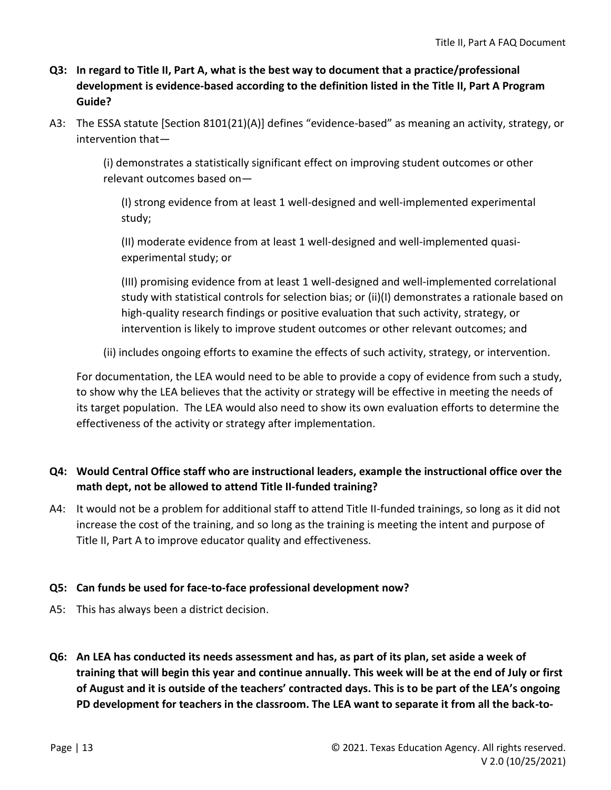#### **Q3: In regard to Title II, Part A, what is the best way to document that a practice/professional development is evidence-based according to the definition listed in the Title II, Part A Program Guide?**

A3: The ESSA statute [Section 8101(21)(A)] defines "evidence-based" as meaning an activity, strategy, or intervention that—

> (i) demonstrates a statistically significant effect on improving student outcomes or other relevant outcomes based on—

(I) strong evidence from at least 1 well-designed and well-implemented experimental study;

(II) moderate evidence from at least 1 well-designed and well-implemented quasiexperimental study; or

(III) promising evidence from at least 1 well-designed and well-implemented correlational study with statistical controls for selection bias; or (ii)(I) demonstrates a rationale based on high-quality research findings or positive evaluation that such activity, strategy, or intervention is likely to improve student outcomes or other relevant outcomes; and

(ii) includes ongoing efforts to examine the effects of such activity, strategy, or intervention.

For documentation, the LEA would need to be able to provide a copy of evidence from such a study, to show why the LEA believes that the activity or strategy will be effective in meeting the needs of its target population. The LEA would also need to show its own evaluation efforts to determine the effectiveness of the activity or strategy after implementation.

### **Q4: Would Central Office staff who are instructional leaders, example the instructional office over the math dept, not be allowed to attend Title II-funded training?**

A4: It would not be a problem for additional staff to attend Title II-funded trainings, so long as it did not increase the cost of the training, and so long as the training is meeting the intent and purpose of Title II, Part A to improve educator quality and effectiveness.

#### **Q5: Can funds be used for face-to-face professional development now?**

- A5: This has always been a district decision.
- **Q6: An LEA has conducted its needs assessment and has, as part of its plan, set aside a week of training that will begin this year and continue annually. This week will be at the end of July or first of August and it is outside of the teachers' contracted days. This is to be part of the LEA's ongoing PD development for teachers in the classroom. The LEA want to separate it from all the back-to-**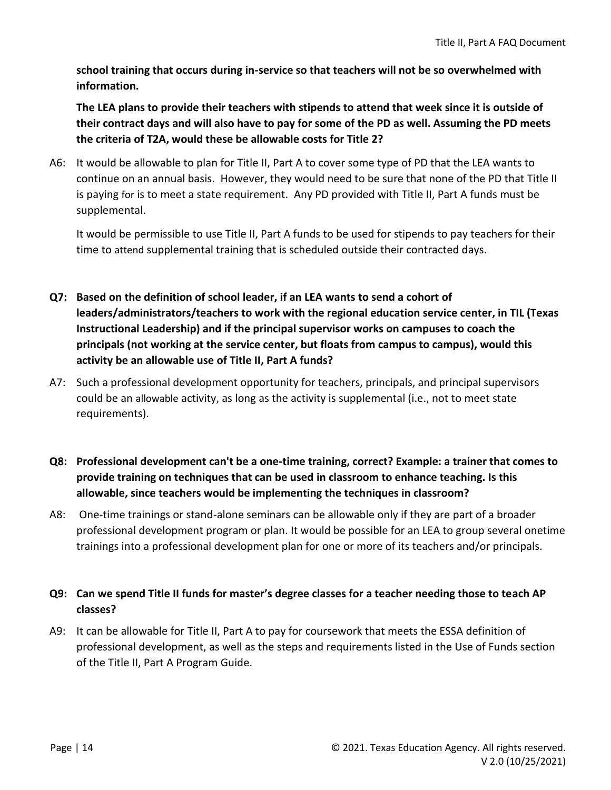**school training that occurs during in-service so that teachers will not be so overwhelmed with information.** 

**The LEA plans to provide their teachers with stipends to attend that week since it is outside of their contract days and will also have to pay for some of the PD as well. Assuming the PD meets the criteria of T2A, would these be allowable costs for Title 2?** 

A6: It would be allowable to plan for Title II, Part A to cover some type of PD that the LEA wants to continue on an annual basis. However, they would need to be sure that none of the PD that Title II is paying for is to meet a state requirement. Any PD provided with Title II, Part A funds must be supplemental.

It would be permissible to use Title II, Part A funds to be used for stipends to pay teachers for their time to attend supplemental training that is scheduled outside their contracted days.

- **Q7: Based on the definition of school leader, if an LEA wants to send a cohort of leaders/administrators/teachers to work with the regional education service center, in TIL (Texas Instructional Leadership) and if the principal supervisor works on campuses to coach the principals (not working at the service center, but floats from campus to campus), would this activity be an allowable use of Title II, Part A funds?**
- A7: Such a professional development opportunity for teachers, principals, and principal supervisors could be an allowable activity, as long as the activity is supplemental (i.e., not to meet state requirements).
- **Q8: Professional development can't be a one-time training, correct? Example: a trainer that comes to provide training on techniques that can be used in classroom to enhance teaching. Is this allowable, since teachers would be implementing the techniques in classroom?**
- A8: One-time trainings or stand-alone seminars can be allowable only if they are part of a broader professional development program or plan. It would be possible for an LEA to group several onetime trainings into a professional development plan for one or more of its teachers and/or principals.

#### **Q9: Can we spend Title II funds for master's degree classes for a teacher needing those to teach AP classes?**

A9: It can be allowable for Title II, Part A to pay for coursework that meets the ESSA definition of professional development, as well as the steps and requirements listed in the Use of Funds section of the Title II, Part A Program Guide.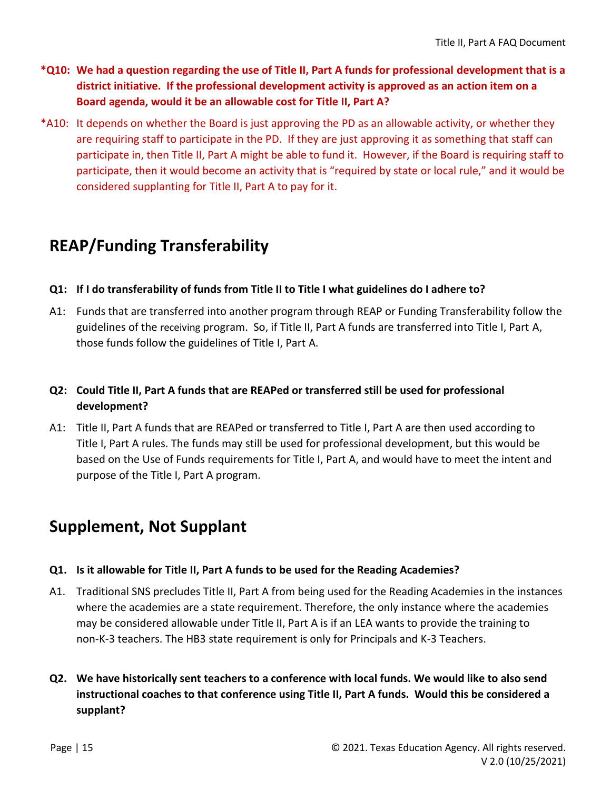- **\*Q10: We had a question regarding the use of Title II, Part A funds for professional development that is a district initiative. If the professional development activity is approved as an action item on a Board agenda, would it be an allowable cost for Title II, Part A?**
- \*A10: It depends on whether the Board is just approving the PD as an allowable activity, or whether they are requiring staff to participate in the PD. If they are just approving it as something that staff can participate in, then Title II, Part A might be able to fund it. However, if the Board is requiring staff to participate, then it would become an activity that is "required by state or local rule," and it would be considered supplanting for Title II, Part A to pay for it.

# **REAP/Funding Transferability**

- **Q1: If I do transferability of funds from Title II to Title I what guidelines do I adhere to?**
- A1: Funds that are transferred into another program through REAP or Funding Transferability follow the guidelines of the receiving program. So, if Title II, Part A funds are transferred into Title I, Part A, those funds follow the guidelines of Title I, Part A.

### **Q2: Could Title II, Part A funds that are REAPed or transferred still be used for professional development?**

A1: Title II, Part A funds that are REAPed or transferred to Title I, Part A are then used according to Title I, Part A rules. The funds may still be used for professional development, but this would be based on the Use of Funds requirements for Title I, Part A, and would have to meet the intent and purpose of the Title I, Part A program.

# <span id="page-14-0"></span>**Supplement, Not Supplant**

#### **Q1. Is it allowable for Title II, Part A funds to be used for the Reading Academies?**

- A1. Traditional SNS precludes Title II, Part A from being used for the Reading Academies in the instances where the academies are a state requirement. Therefore, the only instance where the academies may be considered allowable under Title II, Part A is if an LEA wants to provide the training to non-K-3 teachers. The HB3 state requirement is only for Principals and K-3 Teachers.
- **Q2. We have historically sent teachers to a conference with local funds. We would like to also send instructional coaches to that conference using Title II, Part A funds. Would this be considered a supplant?**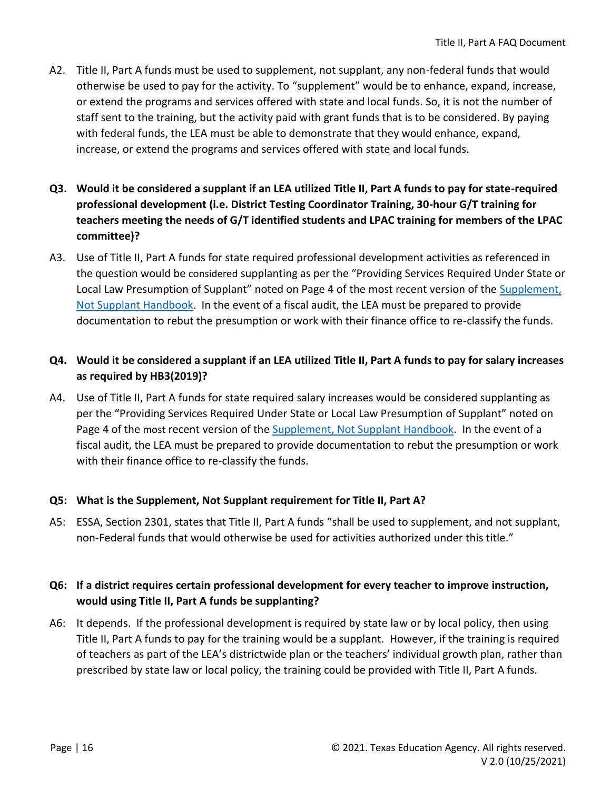- A2. Title II, Part A funds must be used to supplement, not supplant, any non-federal funds that would otherwise be used to pay for the activity. To "supplement" would be to enhance, expand, increase, or extend the programs and services offered with state and local funds. So, it is not the number of staff sent to the training, but the activity paid with grant funds that is to be considered. By paying with federal funds, the LEA must be able to demonstrate that they would enhance, expand, increase, or extend the programs and services offered with state and local funds.
- **Q3. Would it be considered a supplant if an LEA utilized Title II, Part A funds to pay for state-required professional development (i.e. District Testing Coordinator Training, 30-hour G/T training for teachers meeting the needs of G/T identified students and LPAC training for members of the LPAC committee)?**
- A3. Use of Title II, Part A funds for state required professional development activities as referenced in the question would be considered supplanting as per the "Providing Services Required Under State or Local Law Presumption of Supplant" noted on Page 4 of the most recent version of the Supplement, [Not Supplant Handbook.](https://tea.texas.gov/sites/default/files/SNS%20Handbook_4.0--revised%209-5-2019.pdf) In the event of a fiscal audit, the LEA must be prepared to provide documentation to rebut the presumption or work with their finance office to re-classify the funds.

#### **Q4. Would it be considered a supplant if an LEA utilized Title II, Part A funds to pay for salary increases as required by HB3(2019)?**

A4. Use of Title II, Part A funds for state required salary increases would be considered supplanting as per the "Providing Services Required Under State or Local Law Presumption of Supplant" noted on Page 4 of the most recent version of the [Supplement, Not Supplant Handbook.](https://tea.texas.gov/sites/default/files/SNS%20Handbook_4.0--revised%209-5-2019.pdf) In the event of a fiscal audit, the LEA must be prepared to provide documentation to rebut the presumption or work with their finance office to re-classify the funds.

#### **Q5: What is the Supplement, Not Supplant requirement for Title II, Part A?**

A5: ESSA, Section 2301, states that Title II, Part A funds "shall be used to supplement, and not supplant, non-Federal funds that would otherwise be used for activities authorized under this title."

#### **Q6: If a district requires certain professional development for every teacher to improve instruction, would using Title II, Part A funds be supplanting?**

A6: It depends. If the professional development is required by state law or by local policy, then using Title II, Part A funds to pay for the training would be a supplant. However, if the training is required of teachers as part of the LEA's districtwide plan or the teachers' individual growth plan, rather than prescribed by state law or local policy, the training could be provided with Title II, Part A funds.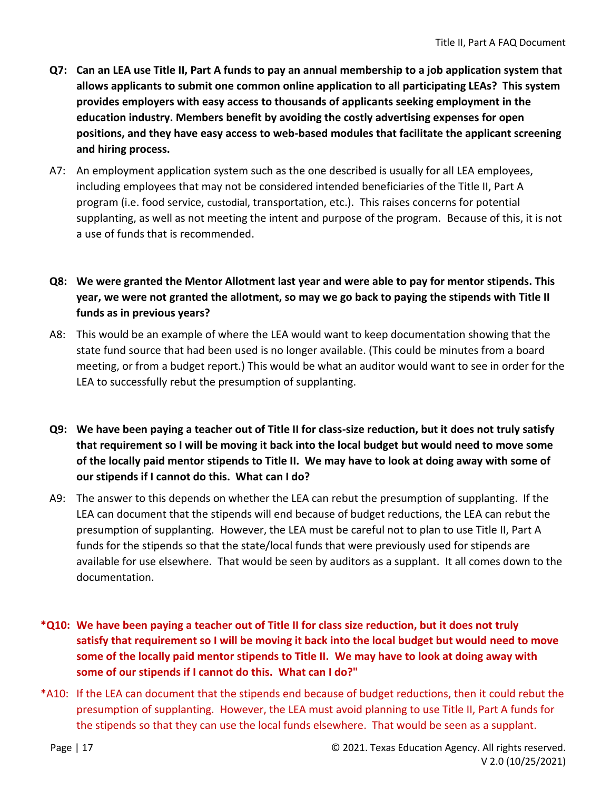- **Q7: Can an LEA use Title II, Part A funds to pay an annual membership to a job application system that allows applicants to submit one common online application to all participating LEAs? This system provides employers with easy access to thousands of applicants seeking employment in the education industry. Members benefit by avoiding the costly advertising expenses for open positions, and they have easy access to web-based modules that facilitate the applicant screening and hiring process.**
- A7: An employment application system such as the one described is usually for all LEA employees, including employees that may not be considered intended beneficiaries of the Title II, Part A program (i.e. food service, custodial, transportation, etc.). This raises concerns for potential supplanting, as well as not meeting the intent and purpose of the program. Because of this, it is not a use of funds that is recommended.
- **Q8: We were granted the Mentor Allotment last year and were able to pay for mentor stipends. This year, we were not granted the allotment, so may we go back to paying the stipends with Title II funds as in previous years?**
- A8: This would be an example of where the LEA would want to keep documentation showing that the state fund source that had been used is no longer available. (This could be minutes from a board meeting, or from a budget report.) This would be what an auditor would want to see in order for the LEA to successfully rebut the presumption of supplanting.
- **Q9: We have been paying a teacher out of Title II for class-size reduction, but it does not truly satisfy that requirement so I will be moving it back into the local budget but would need to move some of the locally paid mentor stipends to Title II. We may have to look at doing away with some of our stipends if I cannot do this. What can I do?**
- A9: The answer to this depends on whether the LEA can rebut the presumption of supplanting. If the LEA can document that the stipends will end because of budget reductions, the LEA can rebut the presumption of supplanting. However, the LEA must be careful not to plan to use Title II, Part A funds for the stipends so that the state/local funds that were previously used for stipends are available for use elsewhere. That would be seen by auditors as a supplant. It all comes down to the documentation.
- **\*Q10: We have been paying a teacher out of Title II for class size reduction, but it does not truly satisfy that requirement so I will be moving it back into the local budget but would need to move some of the locally paid mentor stipends to Title II. We may have to look at doing away with some of our stipends if I cannot do this. What can I do?"**
- \*A10: If the LEA can document that the stipends end because of budget reductions, then it could rebut the presumption of supplanting. However, the LEA must avoid planning to use Title II, Part A funds for the stipends so that they can use the local funds elsewhere. That would be seen as a supplant.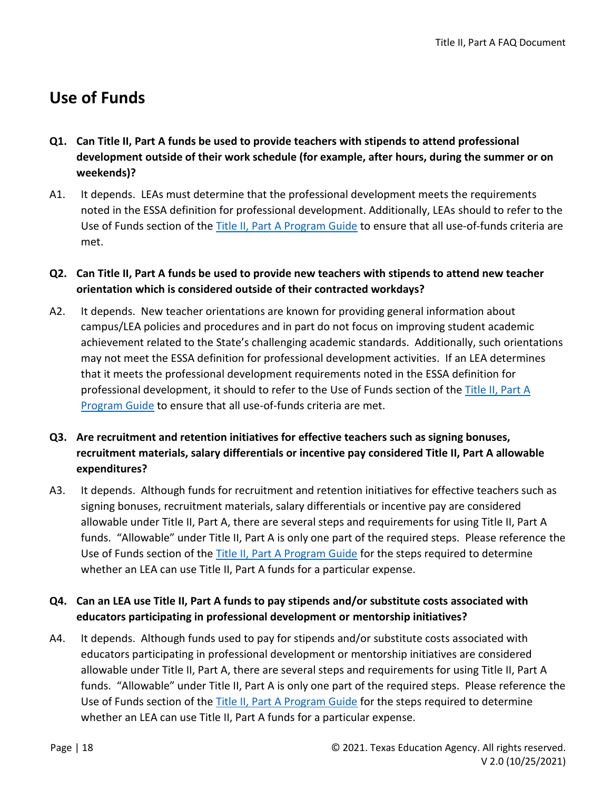# <span id="page-17-0"></span>**Use of Funds**

- **Q1. Can Title II, Part A funds be used to provide teachers with stipends to attend professional development outside of their work schedule (for example, after hours, during the summer or on weekends)?**
- A1. It depends. LEAs must determine that the professional development meets the requirements noted in the ESSA definition for professional development. Additionally, LEAs should to refer to the Use of Funds section of the [Title II, Part A Program Guide](https://tea.texas.gov/sites/default/files/T2AProgramGuide.pdf) to ensure that all use-of-funds criteria are met.
- **Q2. Can Title II, Part A funds be used to provide new teachers with stipends to attend new teacher orientation which is considered outside of their contracted workdays?**
- A2. It depends. New teacher orientations are known for providing general information about campus/LEA policies and procedures and in part do not focus on improving student academic achievement related to the State's challenging academic standards. Additionally, such orientations may not meet the ESSA definition for professional development activities. If an LEA determines that it meets the professional development requirements noted in the ESSA definition for professional development, it should to refer to the Use of Funds section of the [Title II, Part A](https://tea.texas.gov/sites/default/files/T2AProgramGuide.pdf)  [Program Guide](https://tea.texas.gov/sites/default/files/T2AProgramGuide.pdf) to ensure that all use-of-funds criteria are met.
- **Q3. Are recruitment and retention initiatives for effective teachers such as signing bonuses, recruitment materials, salary differentials or incentive pay considered Title II, Part A allowable expenditures?**
- A3. It depends. Although funds for recruitment and retention initiatives for effective teachers such as signing bonuses, recruitment materials, salary differentials or incentive pay are considered allowable under Title II, Part A, there are several steps and requirements for using Title II, Part A funds. "Allowable" under Title II, Part A is only one part of the required steps. Please reference the Use of Funds section of the [Title II, Part A Program Guide](https://tea.texas.gov/sites/default/files/T2AProgramGuide.pdf) for the steps required to determine whether an LEA can use Title II, Part A funds for a particular expense.

#### **Q4. Can an LEA use Title II, Part A funds to pay stipends and/or substitute costs associated with educators participating in professional development or mentorship initiatives?**

A4. It depends. Although funds used to pay for stipends and/or substitute costs associated with educators participating in professional development or mentorship initiatives are considered allowable under Title II, Part A, there are several steps and requirements for using Title II, Part A funds. "Allowable" under Title II, Part A is only one part of the required steps. Please reference the Use of Funds section of the [Title II, Part A Program Guide](https://tea.texas.gov/sites/default/files/T2AProgramGuide.pdf) for the steps required to determine whether an LEA can use Title II, Part A funds for a particular expense.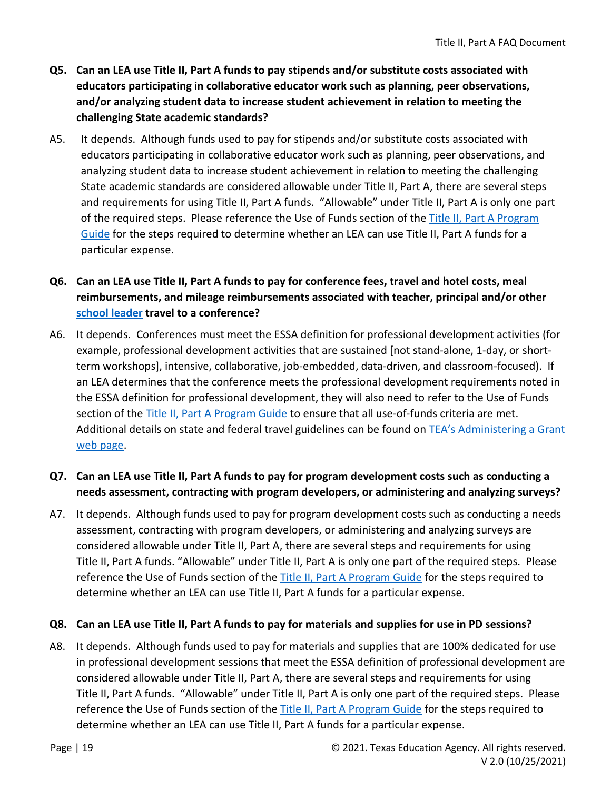- **Q5. Can an LEA use Title II, Part A funds to pay stipends and/or substitute costs associated with educators participating in collaborative educator work such as planning, peer observations, and/or analyzing student data to increase student achievement in relation to meeting the challenging State academic standards?**
- A5. It depends. Although funds used to pay for stipends and/or substitute costs associated with educators participating in collaborative educator work such as planning, peer observations, and analyzing student data to increase student achievement in relation to meeting the challenging State academic standards are considered allowable under Title II, Part A, there are several steps and requirements for using Title II, Part A funds. "Allowable" under Title II, Part A is only one part of the required steps. Please reference the Use of Funds section of the Title II, Part A Program [Guide](https://tea.texas.gov/sites/default/files/T2AProgramGuide.pdf) for the steps required to determine whether an LEA can use Title II, Part A funds for a particular expense.

### **Q6. Can an LEA use Title II, Part A funds to pay for conference fees, travel and hotel costs, meal reimbursements, and mileage reimbursements associated with teacher, principal and/or other school leader travel to a conference?**

A6. It depends. Conferences must meet the ESSA definition for professional development activities (for example, professional development activities that are sustained [not stand-alone, 1-day, or shortterm workshops], intensive, collaborative, job-embedded, data-driven, and classroom-focused). If an LEA determines that the conference meets the professional development requirements noted in the ESSA definition for professional development, they will also need to refer to the Use of Funds section of the [Title II, Part A Program Guide](https://tea.texas.gov/sites/default/files/T2AProgramGuide.pdf) to ensure that all use-of-funds criteria are met. Additional details on state and federal travel guidelines can be found on TEA's Administering a Grant [web page.](https://tea.texas.gov/Finance_and_Grants/Grants/Training_and_Other_Resources/Training_and_Other_Resources)

#### **Q7. Can an LEA use Title II, Part A funds to pay for program development costs such as conducting a needs assessment, contracting with program developers, or administering and analyzing surveys?**

A7. It depends. Although funds used to pay for program development costs such as conducting a needs assessment, contracting with program developers, or administering and analyzing surveys are considered allowable under Title II, Part A, there are several steps and requirements for using Title II, Part A funds. "Allowable" under Title II, Part A is only one part of the required steps. Please reference the Use of Funds section of the [Title II, Part A Program Guide](https://tea.texas.gov/sites/default/files/T2AProgramGuide.pdf) for the steps required to determine whether an LEA can use Title II, Part A funds for a particular expense.

#### **Q8. Can an LEA use Title II, Part A funds to pay for materials and supplies for use in PD sessions?**

A8. It depends. Although funds used to pay for materials and supplies that are 100% dedicated for use in professional development sessions that meet the ESSA definition of professional development are considered allowable under Title II, Part A, there are several steps and requirements for using Title II, Part A funds. "Allowable" under Title II, Part A is only one part of the required steps. Please reference the Use of Funds section of the [Title II, Part A Program Guide](https://tea.texas.gov/sites/default/files/T2AProgramGuide.pdf) for the steps required to determine whether an LEA can use Title II, Part A funds for a particular expense.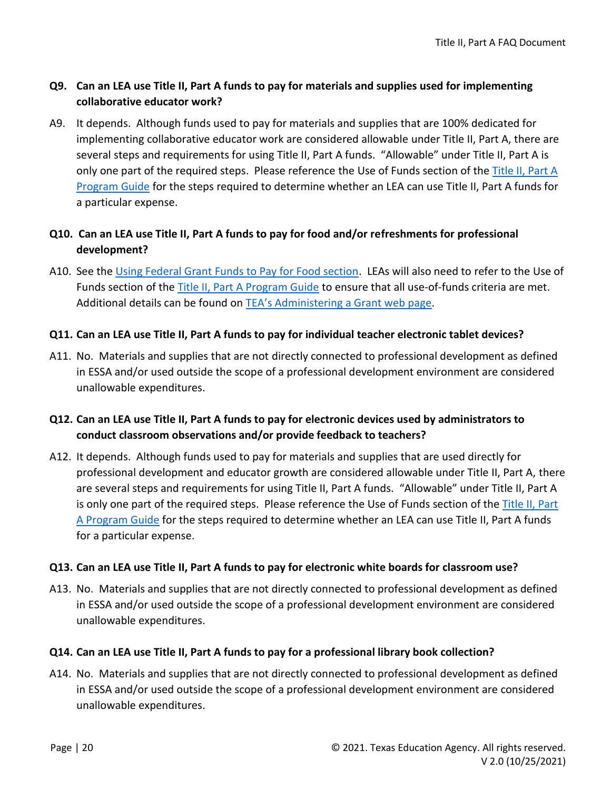#### **Q9. Can an LEA use Title II, Part A funds to pay for materials and supplies used for implementing collaborative educator work?**

A9. It depends. Although funds used to pay for materials and supplies that are 100% dedicated for implementing collaborative educator work are considered allowable under Title II, Part A, there are several steps and requirements for using Title II, Part A funds. "Allowable" under Title II, Part A is only one part of the required steps. Please reference the Use of Funds section of the [Title II, Part A](https://tea.texas.gov/sites/default/files/T2AProgramGuide.pdf)  [Program Guide](https://tea.texas.gov/sites/default/files/T2AProgramGuide.pdf) for the steps required to determine whether an LEA can use Title II, Part A funds for a particular expense.

#### **Q10. Can an LEA use Title II, Part A funds to pay for food and/or refreshments for professional development?**

A10. See the Using Federal Grant Funds to Pay for Food section. LEAs will also need to refer to the Use of Funds section of the [Title II, Part A Program Guide](https://tea.texas.gov/sites/default/files/T2AProgramGuide.pdf) to ensure that all use-of-funds criteria are met. Additional details can be found on [TEA's Administering a Grant web page](https://tea.texas.gov/Finance_and_Grants/Grants/Training_and_Other_Resources/Training_and_Other_Resources).

#### **Q11. Can an LEA use Title II, Part A funds to pay for individual teacher electronic tablet devices?**

A11. No. Materials and supplies that are not directly connected to professional development as defined in ESSA and/or used outside the scope of a professional development environment are considered unallowable expenditures.

#### **Q12. Can an LEA use Title II, Part A funds to pay for electronic devices used by administrators to conduct classroom observations and/or provide feedback to teachers?**

A12. It depends. Although funds used to pay for materials and supplies that are used directly for professional development and educator growth are considered allowable under Title II, Part A, there are several steps and requirements for using Title II, Part A funds. "Allowable" under Title II, Part A is only one part of the required steps. Please reference the Use of Funds section of the Title II, Part [A Program Guide](https://tea.texas.gov/sites/default/files/T2AProgramGuide.pdf) for the steps required to determine whether an LEA can use Title II, Part A funds for a particular expense.

#### **Q13. Can an LEA use Title II, Part A funds to pay for electronic white boards for classroom use?**

A13. No. Materials and supplies that are not directly connected to professional development as defined in ESSA and/or used outside the scope of a professional development environment are considered unallowable expenditures.

#### **Q14. Can an LEA use Title II, Part A funds to pay for a professional library book collection?**

A14. No. Materials and supplies that are not directly connected to professional development as defined in ESSA and/or used outside the scope of a professional development environment are considered unallowable expenditures.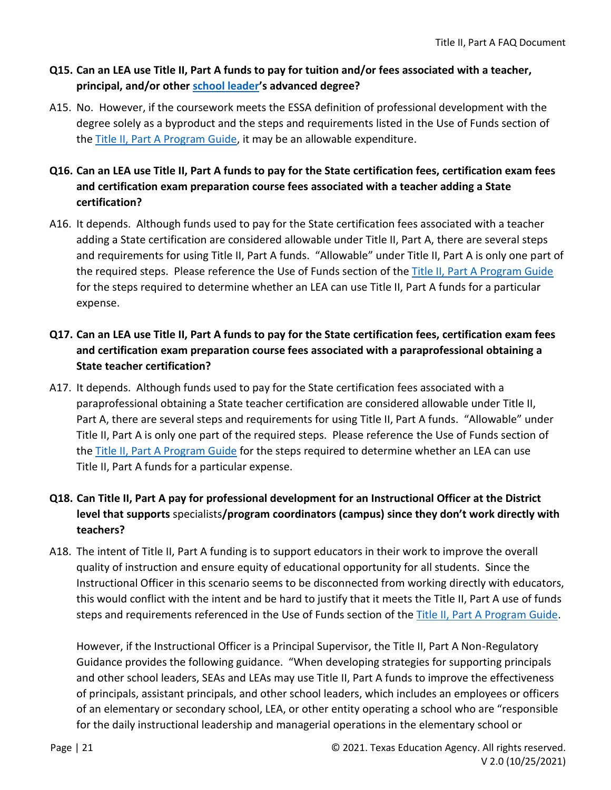#### **Q15. Can an LEA use Title II, Part A funds to pay for tuition and/or fees associated with a teacher, principal, and/or other school leader's advanced degree?**

A15. No. However, if the coursework meets the ESSA definition of professional development with the degree solely as a byproduct and the steps and requirements listed in the Use of Funds section of the [Title II, Part A Program Guide,](https://tea.texas.gov/sites/default/files/T2AProgramGuide.pdf) it may be an allowable expenditure.

### **Q16. Can an LEA use Title II, Part A funds to pay for the State certification fees, certification exam fees and certification exam preparation course fees associated with a teacher adding a State certification?**

A16. It depends. Although funds used to pay for the State certification fees associated with a teacher adding a State certification are considered allowable under Title II, Part A, there are several steps and requirements for using Title II, Part A funds. "Allowable" under Title II, Part A is only one part of the required steps. Please reference the Use of Funds section of the [Title II, Part A Program Guide](https://tea.texas.gov/sites/default/files/T2AProgramGuide.pdf) for the steps required to determine whether an LEA can use Title II, Part A funds for a particular expense.

### **Q17. Can an LEA use Title II, Part A funds to pay for the State certification fees, certification exam fees and certification exam preparation course fees associated with a paraprofessional obtaining a State teacher certification?**

A17. It depends. Although funds used to pay for the State certification fees associated with a paraprofessional obtaining a State teacher certification are considered allowable under Title II, Part A, there are several steps and requirements for using Title II, Part A funds. "Allowable" under Title II, Part A is only one part of the required steps. Please reference the Use of Funds section of the [Title II, Part A Program Guide](https://tea.texas.gov/sites/default/files/T2AProgramGuide.pdf) for the steps required to determine whether an LEA can use Title II, Part A funds for a particular expense.

### **Q18. Can Title II, Part A pay for professional development for an Instructional Officer at the District level that supports** specialists**/program coordinators (campus) since they don't work directly with teachers?**

A18. The intent of Title II, Part A funding is to support educators in their work to improve the overall quality of instruction and ensure equity of educational opportunity for all students. Since the Instructional Officer in this scenario seems to be disconnected from working directly with educators, this would conflict with the intent and be hard to justify that it meets the Title II, Part A use of funds steps and requirements referenced in the Use of Funds section of the [Title II, Part A Program Guide.](https://tea.texas.gov/sites/default/files/T2AProgramGuide.pdf)

However, if the Instructional Officer is a Principal Supervisor, the Title II, Part A Non-Regulatory Guidance provides the following guidance. "When developing strategies for supporting principals and other school leaders, SEAs and LEAs may use Title II, Part A funds to improve the effectiveness of principals, assistant principals, and other school leaders, which includes an employees or officers of an elementary or secondary school, LEA, or other entity operating a school who are "responsible for the daily instructional leadership and managerial operations in the elementary school or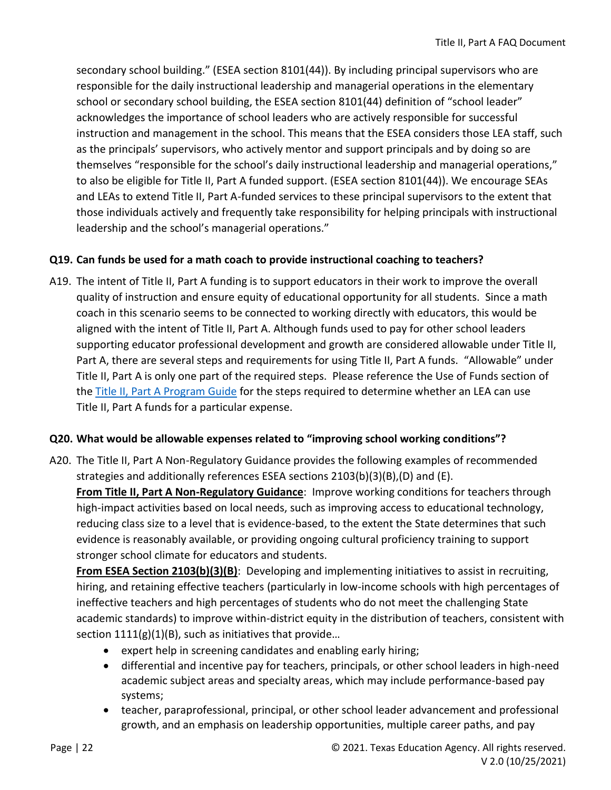secondary school building." (ESEA section 8101(44)). By including principal supervisors who are responsible for the daily instructional leadership and managerial operations in the elementary school or secondary school building, the ESEA section 8101(44) definition of "school leader" acknowledges the importance of school leaders who are actively responsible for successful instruction and management in the school. This means that the ESEA considers those LEA staff, such as the principals' supervisors, who actively mentor and support principals and by doing so are themselves "responsible for the school's daily instructional leadership and managerial operations," to also be eligible for Title II, Part A funded support. (ESEA section 8101(44)). We encourage SEAs and LEAs to extend Title II, Part A-funded services to these principal supervisors to the extent that those individuals actively and frequently take responsibility for helping principals with instructional leadership and the school's managerial operations."

#### **Q19. Can funds be used for a math coach to provide instructional coaching to teachers?**

A19. The intent of Title II, Part A funding is to support educators in their work to improve the overall quality of instruction and ensure equity of educational opportunity for all students. Since a math coach in this scenario seems to be connected to working directly with educators, this would be aligned with the intent of Title II, Part A. Although funds used to pay for other school leaders supporting educator professional development and growth are considered allowable under Title II, Part A, there are several steps and requirements for using Title II, Part A funds. "Allowable" under Title II, Part A is only one part of the required steps. Please reference the Use of Funds section of the [Title II, Part A Program Guide](https://tea.texas.gov/sites/default/files/T2AProgramGuide.pdf) for the steps required to determine whether an LEA can use Title II, Part A funds for a particular expense.

#### **Q20. What would be allowable expenses related to "improving school working conditions"?**

A20. The Title II, Part A Non-Regulatory Guidance provides the following examples of recommended strategies and additionally references ESEA sections 2103(b)(3)(B),(D) and (E). **From Title II, Part A Non-Regulatory Guidance**: Improve working conditions for teachers through high-impact activities based on local needs, such as improving access to educational technology, reducing class size to a level that is evidence-based, to the extent the State determines that such evidence is reasonably available, or providing ongoing cultural proficiency training to support stronger school climate for educators and students.

**From ESEA Section 2103(b)(3)(B)**: Developing and implementing initiatives to assist in recruiting, hiring, and retaining effective teachers (particularly in low-income schools with high percentages of ineffective teachers and high percentages of students who do not meet the challenging State academic standards) to improve within-district equity in the distribution of teachers, consistent with section  $1111(g)(1)(B)$ , such as initiatives that provide...

- expert help in screening candidates and enabling early hiring;
- differential and incentive pay for teachers, principals, or other school leaders in high-need academic subject areas and specialty areas, which may include performance-based pay systems;
- teacher, paraprofessional, principal, or other school leader advancement and professional growth, and an emphasis on leadership opportunities, multiple career paths, and pay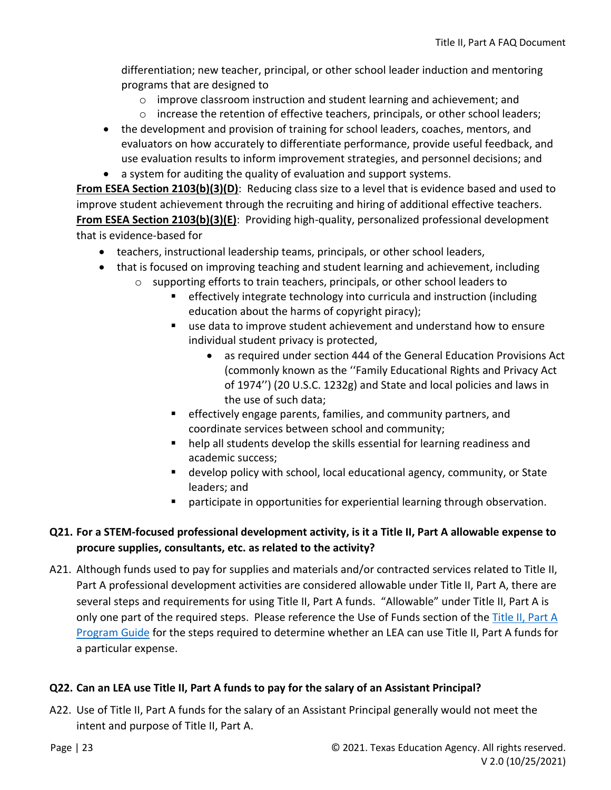differentiation; new teacher, principal, or other school leader induction and mentoring programs that are designed to

- $\circ$  improve classroom instruction and student learning and achievement; and
- o increase the retention of effective teachers, principals, or other school leaders;
- the development and provision of training for school leaders, coaches, mentors, and evaluators on how accurately to differentiate performance, provide useful feedback, and use evaluation results to inform improvement strategies, and personnel decisions; and
- a system for auditing the quality of evaluation and support systems.

**From ESEA Section 2103(b)(3)(D)**: Reducing class size to a level that is evidence based and used to improve student achievement through the recruiting and hiring of additional effective teachers. **From ESEA Section 2103(b)(3)(E)**: Providing high-quality, personalized professional development that is evidence-based for

- teachers, instructional leadership teams, principals, or other school leaders,
- that is focused on improving teaching and student learning and achievement, including
	- o supporting efforts to train teachers, principals, or other school leaders to
		- effectively integrate technology into curricula and instruction (including education about the harms of copyright piracy);
		- use data to improve student achievement and understand how to ensure individual student privacy is protected,
			- as required under section 444 of the General Education Provisions Act (commonly known as the ''Family Educational Rights and Privacy Act of 1974'') (20 U.S.C. 1232g) and State and local policies and laws in the use of such data;
		- effectively engage parents, families, and community partners, and coordinate services between school and community;
		- help all students develop the skills essential for learning readiness and academic success;
		- develop policy with school, local educational agency, community, or State leaders; and
		- participate in opportunities for experiential learning through observation.

#### **Q21. For a STEM-focused professional development activity, is it a Title II, Part A allowable expense to procure supplies, consultants, etc. as related to the activity?**

A21. Although funds used to pay for supplies and materials and/or contracted services related to Title II, Part A professional development activities are considered allowable under Title II, Part A, there are several steps and requirements for using Title II, Part A funds. "Allowable" under Title II, Part A is only one part of the required steps. Please reference the Use of Funds section of the Title II, Part A [Program Guide](https://tea.texas.gov/sites/default/files/T2AProgramGuide.pdf) for the steps required to determine whether an LEA can use Title II, Part A funds for a particular expense.

#### **Q22. Can an LEA use Title II, Part A funds to pay for the salary of an Assistant Principal?**

A22. Use of Title II, Part A funds for the salary of an Assistant Principal generally would not meet the intent and purpose of Title II, Part A.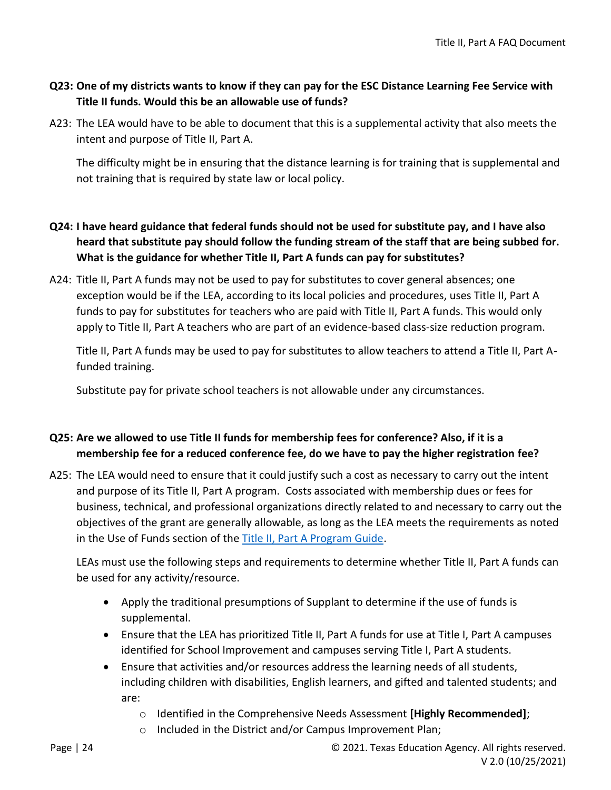#### **Q23: One of my districts wants to know if they can pay for the ESC Distance Learning Fee Service with Title II funds. Would this be an allowable use of funds?**

A23: The LEA would have to be able to document that this is a supplemental activity that also meets the intent and purpose of Title II, Part A.

The difficulty might be in ensuring that the distance learning is for training that is supplemental and not training that is required by state law or local policy.

- **Q24: I have heard guidance that federal funds should not be used for substitute pay, and I have also heard that substitute pay should follow the funding stream of the staff that are being subbed for. What is the guidance for whether Title II, Part A funds can pay for substitutes?**
- A24: Title II, Part A funds may not be used to pay for substitutes to cover general absences; one exception would be if the LEA, according to its local policies and procedures, uses Title II, Part A funds to pay for substitutes for teachers who are paid with Title II, Part A funds. This would only apply to Title II, Part A teachers who are part of an evidence-based class-size reduction program.

Title II, Part A funds may be used to pay for substitutes to allow teachers to attend a Title II, Part Afunded training.

Substitute pay for private school teachers is not allowable under any circumstances.

#### **Q25: Are we allowed to use Title II funds for membership fees for conference? Also, if it is a membership fee for a reduced conference fee, do we have to pay the higher registration fee?**

A25: The LEA would need to ensure that it could justify such a cost as necessary to carry out the intent and purpose of its Title II, Part A program. Costs associated with membership dues or fees for business, technical, and professional organizations directly related to and necessary to carry out the objectives of the grant are generally allowable, as long as the LEA meets the requirements as noted in the Use of Funds section of the [Title II, Part A Program Guide.](https://tea.texas.gov/sites/default/files/T2AProgramGuide.pdf)

LEAs must use the following steps and requirements to determine whether Title II, Part A funds can be used for any activity/resource.

- Apply the traditional presumptions of Supplant to determine if the use of funds is supplemental.
- Ensure that the LEA has prioritized Title II, Part A funds for use at Title I, Part A campuses identified for School Improvement and campuses serving Title I, Part A students.
- Ensure that activities and/or resources address the learning needs of all students, including children with disabilities, English learners, and gifted and talented students; and are:
	- o Identified in the Comprehensive Needs Assessment **[Highly Recommended]**;
	- o Included in the District and/or Campus Improvement Plan;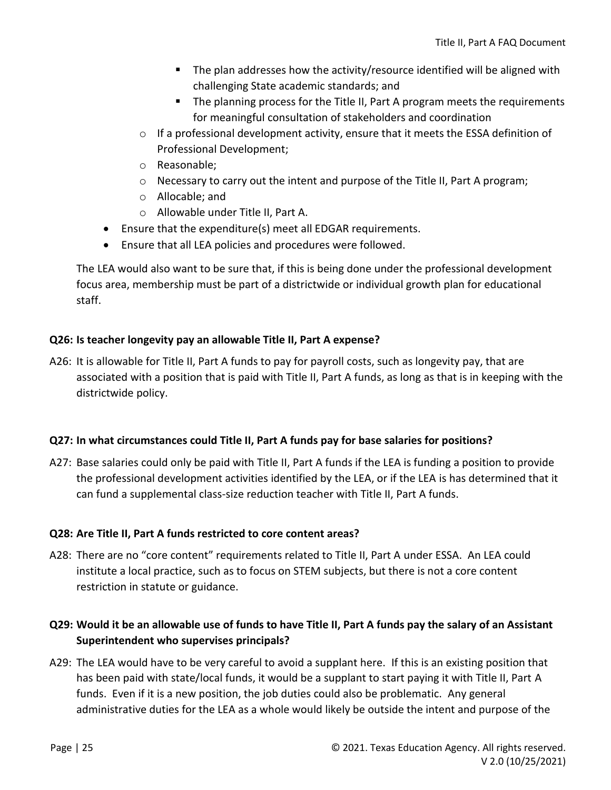- The plan addresses how the activity/resource identified will be aligned with challenging State academic standards; and
- The planning process for the Title II, Part A program meets the requirements for meaningful consultation of stakeholders and coordination
- $\circ$  If a professional development activity, ensure that it meets the ESSA definition of Professional Development;
- o Reasonable;
- $\circ$  Necessary to carry out the intent and purpose of the Title II, Part A program;
- o Allocable; and
- o Allowable under Title II, Part A.
- Ensure that the expenditure(s) meet all EDGAR requirements.
- Ensure that all LEA policies and procedures were followed.

The LEA would also want to be sure that, if this is being done under the professional development focus area, membership must be part of a districtwide or individual growth plan for educational staff.

#### **Q26: Is teacher longevity pay an allowable Title II, Part A expense?**

A26: It is allowable for Title II, Part A funds to pay for payroll costs, such as longevity pay, that are associated with a position that is paid with Title II, Part A funds, as long as that is in keeping with the districtwide policy.

#### **Q27: In what circumstances could Title II, Part A funds pay for base salaries for positions?**

A27: Base salaries could only be paid with Title II, Part A funds if the LEA is funding a position to provide the professional development activities identified by the LEA, or if the LEA is has determined that it can fund a supplemental class-size reduction teacher with Title II, Part A funds.

#### **Q28: Are Title II, Part A funds restricted to core content areas?**

A28: There are no "core content" requirements related to Title II, Part A under ESSA. An LEA could institute a local practice, such as to focus on STEM subjects, but there is not a core content restriction in statute or guidance.

### **Q29: Would it be an allowable use of funds to have Title II, Part A funds pay the salary of an Assistant Superintendent who supervises principals?**

A29: The LEA would have to be very careful to avoid a supplant here. If this is an existing position that has been paid with state/local funds, it would be a supplant to start paying it with Title II, Part A funds. Even if it is a new position, the job duties could also be problematic. Any general administrative duties for the LEA as a whole would likely be outside the intent and purpose of the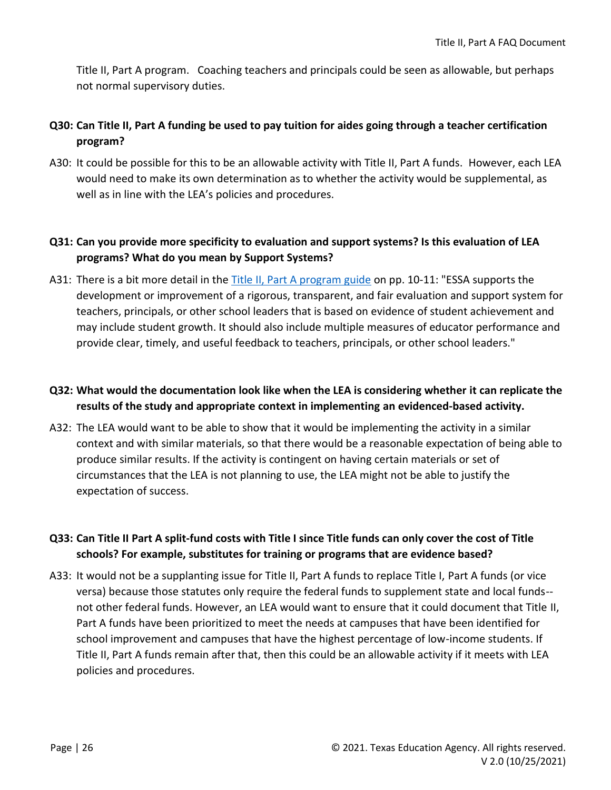Title II, Part A program. Coaching teachers and principals could be seen as allowable, but perhaps not normal supervisory duties.

#### **Q30: Can Title II, Part A funding be used to pay tuition for aides going through a teacher certification program?**

A30: It could be possible for this to be an allowable activity with Title II, Part A funds. However, each LEA would need to make its own determination as to whether the activity would be supplemental, as well as in line with the LEA's policies and procedures.

#### **Q31: Can you provide more specificity to evaluation and support systems? Is this evaluation of LEA programs? What do you mean by Support Systems?**

A31: There is a bit more detail in th[e Title II, Part A program guide](https://tea.texas.gov/sites/default/files/T2AProgramGuide.pdf) on pp. 10-11: "ESSA supports the development or improvement of a rigorous, transparent, and fair evaluation and support system for teachers, principals, or other school leaders that is based on evidence of student achievement and may include student growth. It should also include multiple measures of educator performance and provide clear, timely, and useful feedback to teachers, principals, or other school leaders."

#### **Q32: What would the documentation look like when the LEA is considering whether it can replicate the results of the study and appropriate context in implementing an evidenced-based activity.**

A32: The LEA would want to be able to show that it would be implementing the activity in a similar context and with similar materials, so that there would be a reasonable expectation of being able to produce similar results. If the activity is contingent on having certain materials or set of circumstances that the LEA is not planning to use, the LEA might not be able to justify the expectation of success.

#### **Q33: Can Title II Part A split-fund costs with Title I since Title funds can only cover the cost of Title schools? For example, substitutes for training or programs that are evidence based?**

A33: It would not be a supplanting issue for Title II, Part A funds to replace Title I, Part A funds (or vice versa) because those statutes only require the federal funds to supplement state and local funds- not other federal funds. However, an LEA would want to ensure that it could document that Title II, Part A funds have been prioritized to meet the needs at campuses that have been identified for school improvement and campuses that have the highest percentage of low-income students. If Title II, Part A funds remain after that, then this could be an allowable activity if it meets with LEA policies and procedures.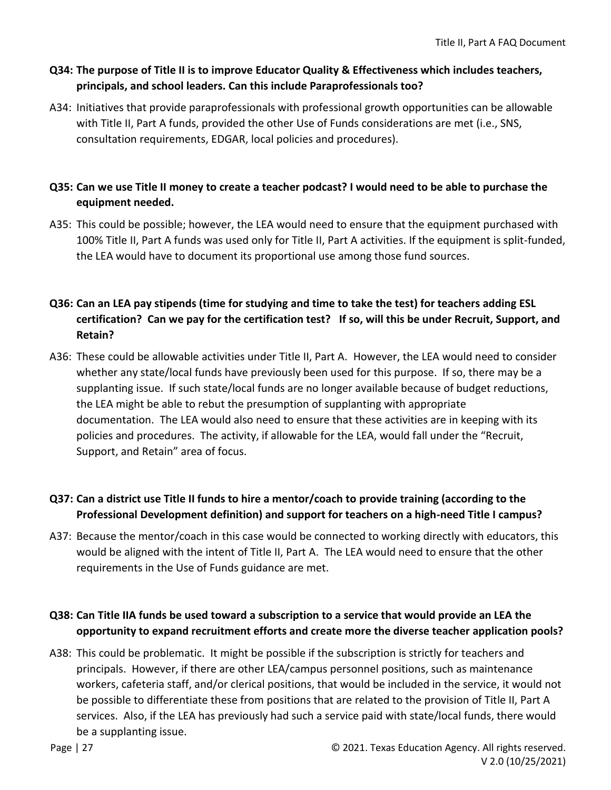#### **Q34: The purpose of Title II is to improve Educator Quality & Effectiveness which includes teachers, principals, and school leaders. Can this include Paraprofessionals too?**

A34: Initiatives that provide paraprofessionals with professional growth opportunities can be allowable with Title II, Part A funds, provided the other Use of Funds considerations are met (i.e., SNS, consultation requirements, EDGAR, local policies and procedures).

#### **Q35: Can we use Title II money to create a teacher podcast? I would need to be able to purchase the equipment needed.**

A35: This could be possible; however, the LEA would need to ensure that the equipment purchased with 100% Title II, Part A funds was used only for Title II, Part A activities. If the equipment is split-funded, the LEA would have to document its proportional use among those fund sources.

### **Q36: Can an LEA pay stipends (time for studying and time to take the test) for teachers adding ESL certification? Can we pay for the certification test? If so, will this be under Recruit, Support, and Retain?**

A36: These could be allowable activities under Title II, Part A. However, the LEA would need to consider whether any state/local funds have previously been used for this purpose. If so, there may be a supplanting issue. If such state/local funds are no longer available because of budget reductions, the LEA might be able to rebut the presumption of supplanting with appropriate documentation. The LEA would also need to ensure that these activities are in keeping with its policies and procedures. The activity, if allowable for the LEA, would fall under the "Recruit, Support, and Retain" area of focus.

### **Q37: Can a district use Title II funds to hire a mentor/coach to provide training (according to the Professional Development definition) and support for teachers on a high-need Title I campus?**

A37: Because the mentor/coach in this case would be connected to working directly with educators, this would be aligned with the intent of Title II, Part A. The LEA would need to ensure that the other requirements in the Use of Funds guidance are met.

#### **Q38: Can Title IIA funds be used toward a subscription to a service that would provide an LEA the opportunity to expand recruitment efforts and create more the diverse teacher application pools?**

A38: This could be problematic. It might be possible if the subscription is strictly for teachers and principals. However, if there are other LEA/campus personnel positions, such as maintenance workers, cafeteria staff, and/or clerical positions, that would be included in the service, it would not be possible to differentiate these from positions that are related to the provision of Title II, Part A services. Also, if the LEA has previously had such a service paid with state/local funds, there would be a supplanting issue.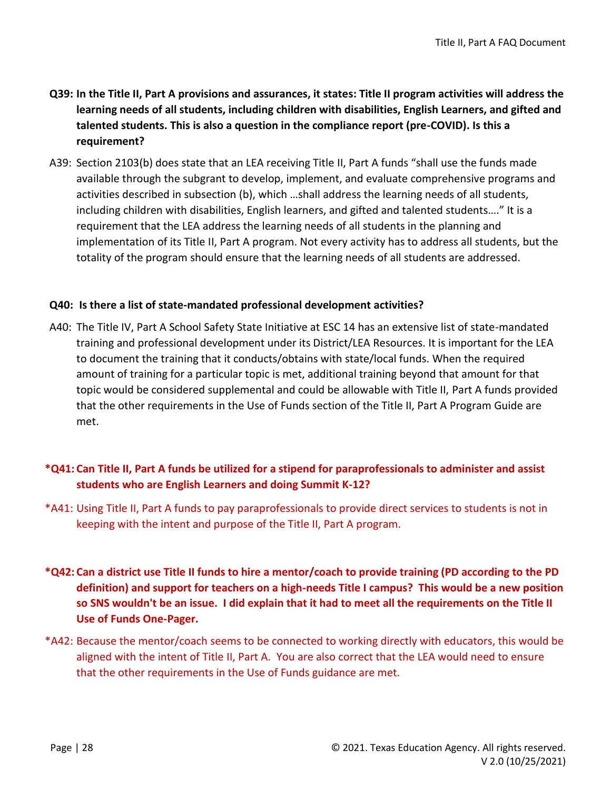- **Q39: In the Title II, Part A provisions and assurances, it states: Title II program activities will address the learning needs of all students, including children with disabilities, English Learners, and gifted and talented students. This is also a question in the compliance report (pre-COVID). Is this a requirement?**
- A39: Section 2103(b) does state that an LEA receiving Title II, Part A funds "shall use the funds made available through the subgrant to develop, implement, and evaluate comprehensive programs and activities described in subsection (b), which …shall address the learning needs of all students, including children with disabilities, English learners, and gifted and talented students…." It is a requirement that the LEA address the learning needs of all students in the planning and implementation of its Title II, Part A program. Not every activity has to address all students, but the totality of the program should ensure that the learning needs of all students are addressed.

#### **Q40: Is there a list of state-mandated professional development activities?**

A40: The Title IV, Part A School Safety State Initiative at ESC 14 has an extensive list of state-mandated training and professional development under its District/LEA Resources. It is important for the LEA to document the training that it conducts/obtains with state/local funds. When the required amount of training for a particular topic is met, additional training beyond that amount for that topic would be considered supplemental and could be allowable with Title II, Part A funds provided that the other requirements in the Use of Funds section of the Title II, Part A Program Guide are met.

#### **\*Q41: Can Title II, Part A funds be utilized for a stipend for paraprofessionals to administer and assist students who are English Learners and doing Summit K-12?**

- \*A41: Using Title II, Part A funds to pay paraprofessionals to provide direct services to students is not in keeping with the intent and purpose of the Title II, Part A program.
- **\*Q42: Can a district use Title II funds to hire a mentor/coach to provide training (PD according to the PD definition) and support for teachers on a high-needs Title I campus? This would be a new position so SNS wouldn't be an issue. I did explain that it had to meet all the requirements on the Title II Use of Funds One-Pager.**
- \*A42: Because the mentor/coach seems to be connected to working directly with educators, this would be aligned with the intent of Title II, Part A. You are also correct that the LEA would need to ensure that the other requirements in the Use of Funds guidance are met.